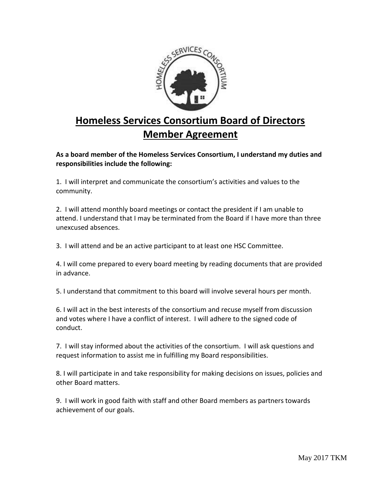

## **Homeless Services Consortium Board of Directors Member Agreement**

**As a board member of the Homeless Services Consortium, I understand my duties and responsibilities include the following:** 

1. I will interpret and communicate the consortium's activities and values to the community.

2. I will attend monthly board meetings or contact the president if I am unable to attend. I understand that I may be terminated from the Board if I have more than three unexcused absences.

3. I will attend and be an active participant to at least one HSC Committee.

4. I will come prepared to every board meeting by reading documents that are provided in advance.

5. I understand that commitment to this board will involve several hours per month.

6. I will act in the best interests of the consortium and recuse myself from discussion and votes where I have a conflict of interest. I will adhere to the signed code of conduct.

7. I will stay informed about the activities of the consortium. I will ask questions and request information to assist me in fulfilling my Board responsibilities.

8. I will participate in and take responsibility for making decisions on issues, policies and other Board matters.

9. I will work in good faith with staff and other Board members as partners towards achievement of our goals.